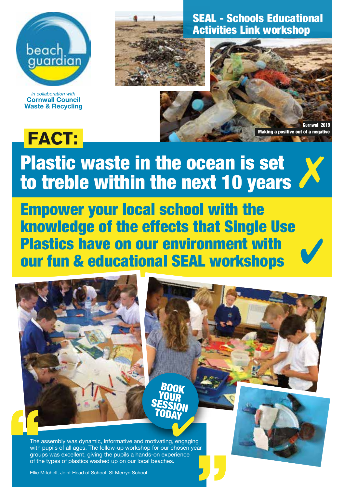

*in collaboration with* **Cornwall Council Waste & Recycling**

**FACT:** 



SEAL - Schools Educational Activities Link workshop



✗

## Plastic waste in the ocean is set to treble within the next 10 years

Empower your local school with the knowledge of the effects that Single Use Plastics have on our environment with our fun & educational SEAL workshops



The assembly was dynamic, informative and motivating, engaging with pupils of all ages. The follow-up workshop for our chosen year groups was excellent, giving the pupils a hands-on experience of the types of plastics washed up on our local beaches.

Ellie Mitchell, Joint Head of School, St Merryn School